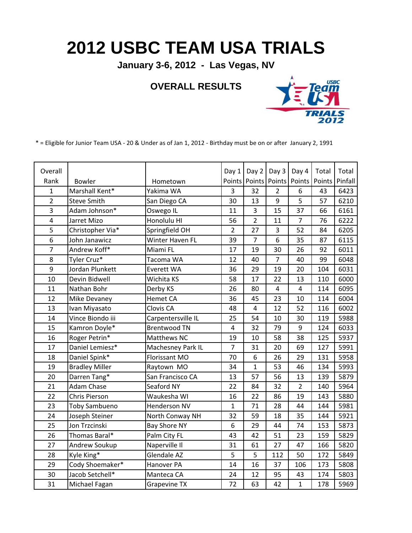## **2012 USBC TEAM USA TRIALS**

**January 3-6, 2012 - Las Vegas, NV**

## **OVERALL RESULTS**



\* = Eligible for Junior Team USA - 20 & Under as of Jan 1, 2012 - Birthday must be on or after January 2, 1991

| Overall        |                       |                     | Day 1          | Day 2                    | Day 3          | Day 4          | Total  | Total   |
|----------------|-----------------------|---------------------|----------------|--------------------------|----------------|----------------|--------|---------|
| Rank           | Bowler                | Hometown            |                | Points   Points   Points |                | Points         | Points | Pinfall |
| $\mathbf{1}$   | Marshall Kent*        | Yakima WA           | $\overline{3}$ | 32                       | $\overline{2}$ | 6              | 43     | 6423    |
| $\overline{2}$ | <b>Steve Smith</b>    | San Diego CA        | 30             | 13                       | 9              | 5              | 57     | 6210    |
| 3              | Adam Johnson*         | Oswego IL           | 11             | 3                        | 15             | 37             | 66     | 6161    |
| 4              | Jarret Mizo           | Honolulu HI         | 56             | $\overline{2}$           | 11             | $\overline{7}$ | 76     | 6222    |
| 5              | Christopher Via*      | Springfield OH      | $\overline{2}$ | 27                       | 3              | 52             | 84     | 6205    |
| 6              | John Janawicz         | Winter Haven FL     | 39             | $\overline{7}$           | 6              | 35             | 87     | 6115    |
| $\overline{7}$ | Andrew Koff*          | Miami FL            | 17             | 19                       | 30             | 26             | 92     | 6011    |
| 8              | Tyler Cruz*           | Tacoma WA           | 12             | 40                       | $\overline{7}$ | 40             | 99     | 6048    |
| 9              | Jordan Plunkett       | Everett WA          | 36             | 29                       | 19             | 20             | 104    | 6031    |
| 10             | Devin Bidwell         | Wichita KS          | 58             | 17                       | 22             | 13             | 110    | 6000    |
| 11             | Nathan Bohr           | Derby KS            | 26             | 80                       | $\overline{4}$ | $\overline{4}$ | 114    | 6095    |
| 12             | Mike Devaney          | <b>Hemet CA</b>     | 36             | 45                       | 23             | 10             | 114    | 6004    |
| 13             | Ivan Miyasato         | Clovis CA           | 48             | $\overline{4}$           | 12             | 52             | 116    | 6002    |
| 14             | Vince Biondo iii      | Carpentersville IL  | 25             | 54                       | 10             | 30             | 119    | 5988    |
| 15             | Kamron Doyle*         | <b>Brentwood TN</b> | 4              | 32                       | 79             | 9              | 124    | 6033    |
| 16             | Roger Petrin*         | Matthews NC         | 19             | 10                       | 58             | 38             | 125    | 5937    |
| 17             | Daniel Lemiesz*       | Machesney Park IL   | $\overline{7}$ | 31                       | 20             | 69             | 127    | 5991    |
| 18             | Daniel Spink*         | Florissant MO       | 70             | 6                        | 26             | 29             | 131    | 5958    |
| 19             | <b>Bradley Miller</b> | Raytown MO          | 34             | $\mathbf{1}$             | 53             | 46             | 134    | 5993    |
| 20             | Darren Tang*          | San Francisco CA    | 13             | 57                       | 56             | 13             | 139    | 5879    |
| 21             | Adam Chase            | Seaford NY          | 22             | 84                       | 32             | $\overline{2}$ | 140    | 5964    |
| 22             | Chris Pierson         | Waukesha WI         | 16             | 22                       | 86             | 19             | 143    | 5880    |
| 23             | <b>Toby Sambueno</b>  | Henderson NV        | $\mathbf{1}$   | 71                       | 28             | 44             | 144    | 5981    |
| 24             | Joseph Steiner        | North Conway NH     | 32             | 59                       | 18             | 35             | 144    | 5921    |
| 25             | Jon Trzcinski         | <b>Bay Shore NY</b> | 6              | 29                       | 44             | 74             | 153    | 5873    |
| 26             | Thomas Baral*         | Palm City FL        | 43             | 42                       | 51             | 23             | 159    | 5829    |
| 27             | Andrew Soukup         | Naperville II       | 31             | 61                       | 27             | 47             | 166    | 5820    |
| 28             | Kyle King*            | Glendale AZ         | 5              | 5                        | 112            | 50             | 172    | 5849    |
| 29             | Cody Shoemaker*       | Hanover PA          | 14             | 16                       | 37             | 106            | 173    | 5808    |
| 30             | Jacob Setchell*       | Manteca CA          | 24             | 12                       | 95             | 43             | 174    | 5803    |
| 31             | Michael Fagan         | <b>Grapevine TX</b> | 72             | 63                       | 42             | $\mathbf{1}$   | 178    | 5969    |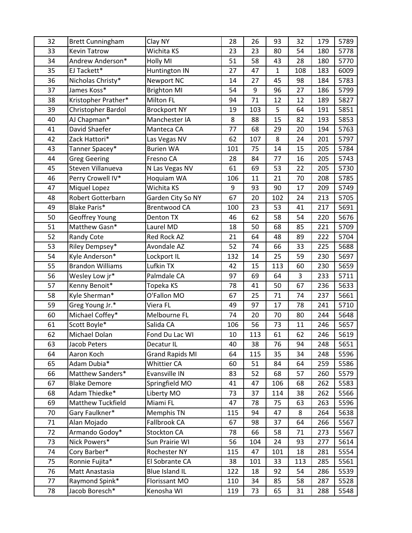| 32 | <b>Brett Cunningham</b>  | Clay NY                | 28  | 26  | 93  | 32  | 179 | 5789 |
|----|--------------------------|------------------------|-----|-----|-----|-----|-----|------|
| 33 | <b>Kevin Tatrow</b>      | Wichita KS             | 23  | 23  | 80  | 54  | 180 | 5778 |
| 34 | Andrew Anderson*         | Holly MI               | 51  | 58  | 43  | 28  | 180 | 5770 |
| 35 | EJ Tackett*              | Huntington IN          | 27  | 47  | 1   | 108 | 183 | 6009 |
| 36 | Nicholas Christy*        | <b>Newport NC</b>      | 14  | 27  | 45  | 98  | 184 | 5783 |
| 37 | James Koss*              | <b>Brighton MI</b>     | 54  | 9   | 96  | 27  | 186 | 5799 |
| 38 | Kristopher Prather*      | Milton FL              | 94  | 71  | 12  | 12  | 189 | 5827 |
| 39 | Christopher Bardol       | <b>Brockport NY</b>    | 19  | 103 | 5   | 64  | 191 | 5851 |
| 40 | AJ Chapman*              | Manchester IA          | 8   | 88  | 15  | 82  | 193 | 5853 |
| 41 | David Shaefer            | Manteca CA             | 77  | 68  | 29  | 20  | 194 | 5763 |
| 42 | Zack Hattori*            | Las Vegas NV           | 62  | 107 | 8   | 24  | 201 | 5797 |
| 43 | Tanner Spacey*           | <b>Burien WA</b>       | 101 | 75  | 14  | 15  | 205 | 5784 |
| 44 | <b>Greg Geering</b>      | Fresno CA              | 28  | 84  | 77  | 16  | 205 | 5743 |
| 45 | Steven Villanueva        | N Las Vegas NV         | 61  | 69  | 53  | 22  | 205 | 5730 |
| 46 | Perry Crowell IV*        | Hoquiam WA             | 106 | 11  | 21  | 70  | 208 | 5785 |
| 47 | Miquel Lopez             | Wichita KS             | 9   | 93  | 90  | 17  | 209 | 5749 |
| 48 | <b>Robert Gotterbarn</b> | Garden City So NY      | 67  | 20  | 102 | 24  | 213 | 5705 |
| 49 | <b>Blake Paris*</b>      | <b>Brentwood CA</b>    | 100 | 23  | 53  | 41  | 217 | 5691 |
| 50 | Geoffrey Young           | Denton TX              | 46  | 62  | 58  | 54  | 220 | 5676 |
| 51 | Matthew Gasn*            | Laurel MD              | 18  | 50  | 68  | 85  | 221 | 5709 |
| 52 | <b>Randy Cote</b>        | Red Rock AZ            | 21  | 64  | 48  | 89  | 222 | 5704 |
| 53 | Riley Dempsey*           | <b>Avondale AZ</b>     | 52  | 74  | 66  | 33  | 225 | 5688 |
| 54 | Kyle Anderson*           | Lockport IL            | 132 | 14  | 25  | 59  | 230 | 5697 |
| 55 | <b>Brandon Williams</b>  | Lufkin TX              | 42  | 15  | 113 | 60  | 230 | 5659 |
| 56 | Wesley Low jr*           | Palmdale CA            | 97  | 69  | 64  | 3   | 233 | 5711 |
| 57 | Kenny Benoit*            | Topeka KS              | 78  | 41  | 50  | 67  | 236 | 5633 |
| 58 | Kyle Sherman*            | O'Fallon MO            | 67  | 25  | 71  | 74  | 237 | 5661 |
| 59 | Greg Young Jr.*          | Viera FL               | 49  | 97  | 17  | 78  | 241 | 5710 |
| 60 | Michael Coffey*          | Melbourne FL           | 74  | 20  | 70  | 80  | 244 | 5648 |
| 61 | Scott Boyle*             | Salida CA              | 106 | 56  | 73  | 11  | 246 | 5657 |
| 62 | Michael Dolan            | Fond Du Lac WI         | 10  | 113 | 61  | 62  | 246 | 5619 |
| 63 | Jacob Peters             | Decatur IL             | 40  | 38  | 76  | 94  | 248 | 5651 |
| 64 | Aaron Koch               | <b>Grand Rapids MI</b> | 64  | 115 | 35  | 34  | 248 | 5596 |
| 65 | Adam Dubia*              | <b>Whittier CA</b>     | 60  | 51  | 84  | 64  | 259 | 5586 |
| 66 | Matthew Sanders*         | Evansville IN          | 83  | 52  | 68  | 57  | 260 | 5579 |
| 67 | <b>Blake Demore</b>      | Springfield MO         | 41  | 47  | 106 | 68  | 262 | 5583 |
| 68 | Adam Thiedke*            | Liberty MO             | 73  | 37  | 114 | 38  | 262 | 5566 |
| 69 | Matthew Tuckfield        | Miami FL               | 47  | 78  | 75  | 63  | 263 | 5596 |
| 70 | Gary Faulkner*           | Memphis TN             | 115 | 94  | 47  | 8   | 264 | 5638 |
| 71 | Alan Mojado              | Fallbrook CA           | 67  | 98  | 37  | 64  | 266 | 5567 |
| 72 | Armando Godoy*           | Stockton CA            | 78  | 66  | 58  | 71  | 273 | 5567 |
| 73 | Nick Powers*             | Sun Prairie WI         | 56  | 104 | 24  | 93  | 277 | 5614 |
| 74 | Cory Barber*             | Rochester NY           | 115 | 47  | 101 | 18  | 281 | 5554 |
| 75 | Ronnie Fujita*           | El Sobrante CA         | 38  | 101 | 33  | 113 | 285 | 5561 |
| 76 | Matt Anastasia           | Blue Island IL         | 122 | 18  | 92  | 54  | 286 | 5539 |
| 77 | Raymond Spink*           | Florissant MO          | 110 | 34  | 85  | 58  | 287 | 5528 |
| 78 | Jacob Boresch*           | Kenosha WI             | 119 | 73  | 65  | 31  | 288 | 5548 |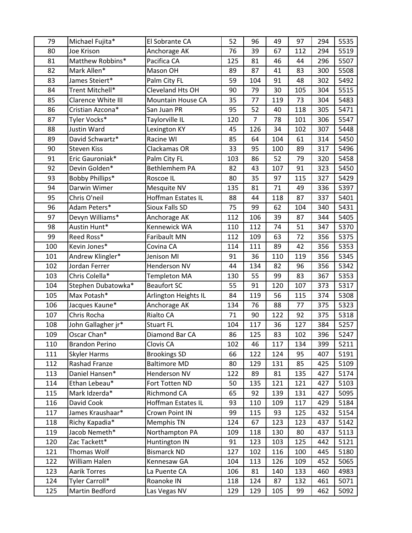| 79  | Michael Fujita*       | El Sobrante CA            | 52  | 96             | 49  | 97  | 294 | 5535 |
|-----|-----------------------|---------------------------|-----|----------------|-----|-----|-----|------|
| 80  | Joe Krison            | Anchorage AK              | 76  | 39             | 67  | 112 | 294 | 5519 |
| 81  | Matthew Robbins*      | Pacifica CA               | 125 | 81             | 46  | 44  | 296 | 5507 |
| 82  | Mark Allen*           | Mason OH                  | 89  | 87             | 41  | 83  | 300 | 5508 |
| 83  | James Steiert*        | Palm City FL              | 59  | 104            | 91  | 48  | 302 | 5492 |
| 84  | Trent Mitchell*       | Cleveland Hts OH          | 90  | 79             | 30  | 105 | 304 | 5515 |
| 85  | Clarence White III    | <b>Mountain House CA</b>  | 35  | 77             | 119 | 73  | 304 | 5483 |
| 86  | Cristian Azcona*      | San Juan PR               | 95  | 52             | 40  | 118 | 305 | 5471 |
| 87  | Tyler Vocks*          | Taylorville IL            | 120 | $\overline{7}$ | 78  | 101 | 306 | 5547 |
| 88  | Justin Ward           | Lexington KY              | 45  | 126            | 34  | 102 | 307 | 5448 |
| 89  | David Schwartz*       | Racine WI                 | 85  | 64             | 104 | 61  | 314 | 5450 |
| 90  | <b>Steven Kiss</b>    | Clackamas OR              | 33  | 95             | 100 | 89  | 317 | 5496 |
| 91  | Eric Gauroniak*       | Palm City FL              | 103 | 86             | 52  | 79  | 320 | 5458 |
| 92  | Devin Golden*         | Bethlemhem PA             | 82  | 43             | 107 | 91  | 323 | 5450 |
| 93  | Bobby Phillips*       | Roscoe IL                 | 80  | 35             | 97  | 115 | 327 | 5429 |
| 94  | Darwin Wimer          | Mesquite NV               | 135 | 81             | 71  | 49  | 336 | 5397 |
| 95  | Chris O'neil          | <b>Hoffman Estates IL</b> | 88  | 44             | 118 | 87  | 337 | 5401 |
| 96  | Adam Peters*          | <b>Sioux Falls SD</b>     | 75  | 99             | 62  | 104 | 340 | 5431 |
| 97  | Devyn Williams*       | Anchorage AK              | 112 | 106            | 39  | 87  | 344 | 5405 |
| 98  | Austin Hunt*          | Kennewick WA              | 110 | 112            | 74  | 51  | 347 | 5370 |
| 99  | Reed Ross*            | Faribault MN              | 112 | 109            | 63  | 72  | 356 | 5375 |
| 100 | Kevin Jones*          | Covina CA                 | 114 | 111            | 89  | 42  | 356 | 5353 |
| 101 | Andrew Klingler*      | Jenison MI                | 91  | 36             | 110 | 119 | 356 | 5345 |
| 102 | Jordan Ferrer         | Henderson NV              | 44  | 134            | 82  | 96  | 356 | 5342 |
| 103 | Chris Colella*        | <b>Templeton MA</b>       | 130 | 55             | 99  | 83  | 367 | 5353 |
| 104 | Stephen Dubatowka*    | <b>Beaufort SC</b>        | 55  | 91             | 120 | 107 | 373 | 5317 |
| 105 | Max Potash*           | Arlington Heights IL      | 84  | 119            | 56  | 115 | 374 | 5308 |
| 106 | Jacques Kaune*        | Anchorage AK              | 134 | 76             | 88  | 77  | 375 | 5323 |
| 107 | Chris Rocha           | Rialto CA                 | 71  | 90             | 122 | 92  | 375 | 5318 |
| 108 | John Gallagher jr*    | <b>Stuart FL</b>          | 104 | 117            | 36  | 127 | 384 | 5257 |
| 109 | Oscar Chan*           | Diamond Bar CA            | 86  | 125            | 83  | 102 | 396 | 5247 |
| 110 | <b>Brandon Perino</b> | Clovis CA                 | 102 | 46             | 117 | 134 | 399 | 5211 |
| 111 | <b>Skyler Harms</b>   | <b>Brookings SD</b>       | 66  | 122            | 124 | 95  | 407 | 5191 |
| 112 | Rashad Franze         | <b>Baltimore MD</b>       | 80  | 129            | 131 | 85  | 425 | 5109 |
| 113 | Daniel Hansen*        | Henderson NV              | 122 | 89             | 81  | 135 | 427 | 5174 |
| 114 | Ethan Lebeau*         | Fort Totten ND            | 50  | 135            | 121 | 121 | 427 | 5103 |
| 115 | Mark Idzerda*         | Richmond CA               | 65  | 92             | 139 | 131 | 427 | 5095 |
| 116 | David Cook            | Hoffman Estates IL        | 93  | 110            | 109 | 117 | 429 | 5184 |
| 117 | James Kraushaar*      | Crown Point IN            | 99  | 115            | 93  | 125 | 432 | 5154 |
| 118 | Richy Kapadia*        | Memphis TN                | 124 | 67             | 123 | 123 | 437 | 5142 |
| 119 | Jacob Nemeth*         | Northampton PA            | 109 | 118            | 130 | 80  | 437 | 5113 |
| 120 | Zac Tackett*          | Huntington IN             | 91  | 123            | 103 | 125 | 442 | 5121 |
| 121 | Thomas Wolf           | <b>Bismarck ND</b>        | 127 | 102            | 116 | 100 | 445 | 5180 |
| 122 | William Halen         | Kennesaw GA               | 104 | 113            | 126 | 109 | 452 | 5065 |
| 123 | <b>Aarik Torres</b>   | La Puente CA              | 106 | 81             | 140 | 133 | 460 | 4983 |
| 124 | Tyler Carroll*        | Roanoke IN                | 118 | 124            | 87  | 132 | 461 | 5071 |
| 125 | Martin Bedford        | Las Vegas NV              | 129 | 129            | 105 | 99  | 462 | 5092 |